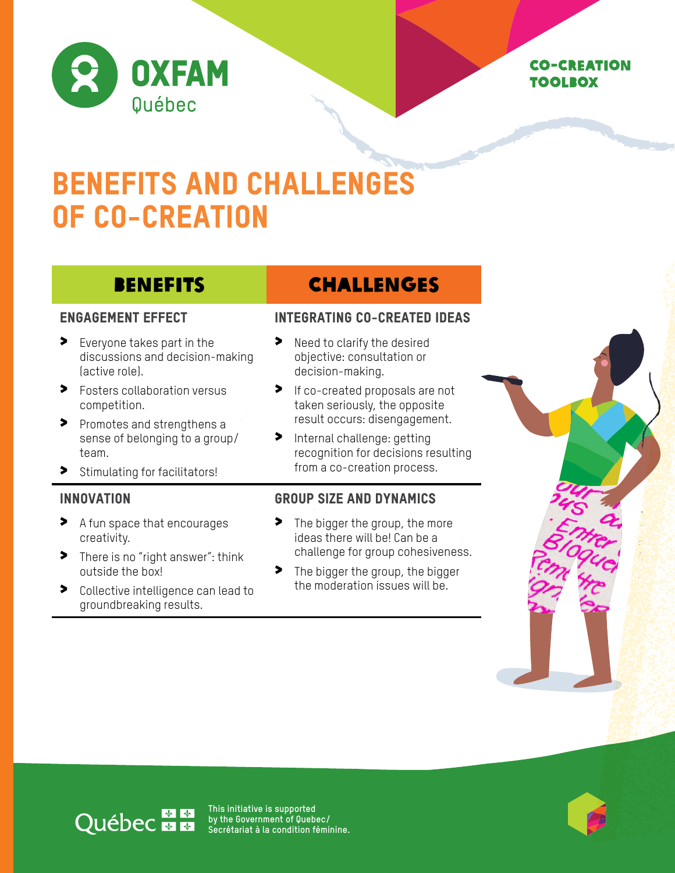

## Co-creation toolbox

# BENEFITS AND CHALLENGES OF CO-CREATION

## Engagement effect

- > Everyone takes part in the discussions and decision-making (active role).
- > Fosters collaboration versus competition.
- > Promotes and strengthens a sense of belonging to a group/ team.
- > Stimulating for facilitators!

## **INNOVATION**

- > A fun space that encourages creativity.
- > There is no "right answer": think outside the box!
- > Collective intelligence can lead to groundbreaking results.

## BENEFITS CHALLENGES

## Integrating co-created ideas

- > Need to clarify the desired objective: consultation or decision-making.
- > If co-created proposals are not taken seriously, the opposite result occurs: disengagement.
- > Internal challenge: getting recognition for decisions resulting from a co-creation process.

## Group size and dynamics

- > The bigger the group, the more ideas there will be! Can be a challenge for group cohesiveness.
- > The bigger the group, the bigger the moderation issues will be.



# Québec mm

**This initiative is supported by the Government of Quebec/ Secrétariat à la condition féminine.**